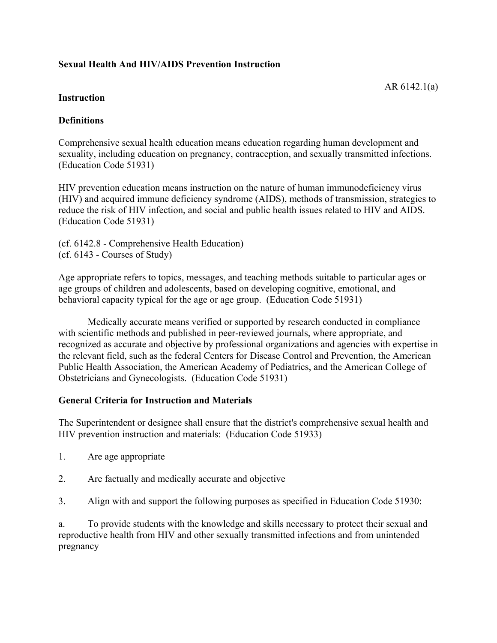### **Sexual Health And HIV/AIDS Prevention Instruction**

AR 6142.1(a)

#### **Instruction**

### **Definitions**

Comprehensive sexual health education means education regarding human development and sexuality, including education on pregnancy, contraception, and sexually transmitted infections. (Education Code 51931)

HIV prevention education means instruction on the nature of human immunodeficiency virus (HIV) and acquired immune deficiency syndrome (AIDS), methods of transmission, strategies to reduce the risk of HIV infection, and social and public health issues related to HIV and AIDS. (Education Code 51931)

(cf. 6142.8 - Comprehensive Health Education) (cf. 6143 - Courses of Study)

Age appropriate refers to topics, messages, and teaching methods suitable to particular ages or age groups of children and adolescents, based on developing cognitive, emotional, and behavioral capacity typical for the age or age group. (Education Code 51931)

Medically accurate means verified or supported by research conducted in compliance with scientific methods and published in peer-reviewed journals, where appropriate, and recognized as accurate and objective by professional organizations and agencies with expertise in the relevant field, such as the federal Centers for Disease Control and Prevention, the American Public Health Association, the American Academy of Pediatrics, and the American College of Obstetricians and Gynecologists. (Education Code 51931)

#### **General Criteria for Instruction and Materials**

The Superintendent or designee shall ensure that the district's comprehensive sexual health and HIV prevention instruction and materials: (Education Code 51933)

- 1. Are age appropriate
- 2. Are factually and medically accurate and objective
- 3. Align with and support the following purposes as specified in Education Code 51930:

a. To provide students with the knowledge and skills necessary to protect their sexual and reproductive health from HIV and other sexually transmitted infections and from unintended pregnancy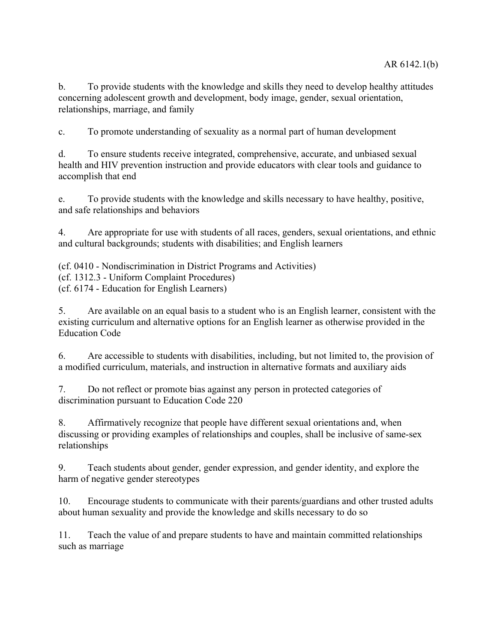b. To provide students with the knowledge and skills they need to develop healthy attitudes concerning adolescent growth and development, body image, gender, sexual orientation, relationships, marriage, and family

c. To promote understanding of sexuality as a normal part of human development

d. To ensure students receive integrated, comprehensive, accurate, and unbiased sexual health and HIV prevention instruction and provide educators with clear tools and guidance to accomplish that end

e. To provide students with the knowledge and skills necessary to have healthy, positive, and safe relationships and behaviors

4. Are appropriate for use with students of all races, genders, sexual orientations, and ethnic and cultural backgrounds; students with disabilities; and English learners

(cf. 0410 - Nondiscrimination in District Programs and Activities) (cf. 1312.3 - Uniform Complaint Procedures) (cf. 6174 - Education for English Learners)

5. Are available on an equal basis to a student who is an English learner, consistent with the existing curriculum and alternative options for an English learner as otherwise provided in the Education Code

6. Are accessible to students with disabilities, including, but not limited to, the provision of a modified curriculum, materials, and instruction in alternative formats and auxiliary aids

7. Do not reflect or promote bias against any person in protected categories of discrimination pursuant to Education Code 220

8. Affirmatively recognize that people have different sexual orientations and, when discussing or providing examples of relationships and couples, shall be inclusive of same-sex relationships

9. Teach students about gender, gender expression, and gender identity, and explore the harm of negative gender stereotypes

10. Encourage students to communicate with their parents/guardians and other trusted adults about human sexuality and provide the knowledge and skills necessary to do so

11. Teach the value of and prepare students to have and maintain committed relationships such as marriage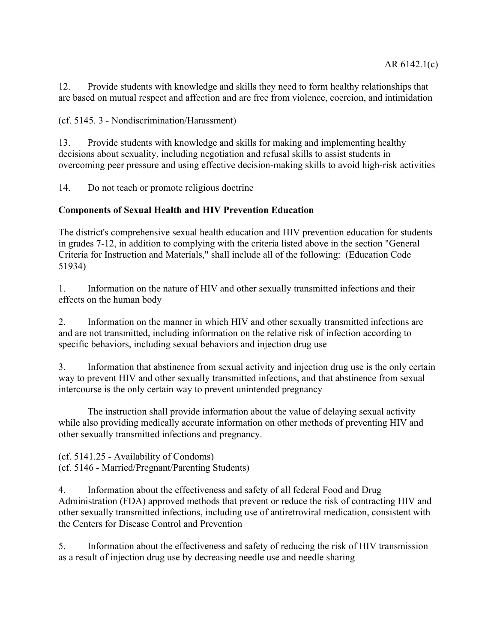12. Provide students with knowledge and skills they need to form healthy relationships that are based on mutual respect and affection and are free from violence, coercion, and intimidation

(cf. 5145. 3 - Nondiscrimination/Harassment)

13. Provide students with knowledge and skills for making and implementing healthy decisions about sexuality, including negotiation and refusal skills to assist students in overcoming peer pressure and using effective decision-making skills to avoid high-risk activities

14. Do not teach or promote religious doctrine

### **Components of Sexual Health and HIV Prevention Education**

The district's comprehensive sexual health education and HIV prevention education for students in grades 7-12, in addition to complying with the criteria listed above in the section "General Criteria for Instruction and Materials," shall include all of the following: (Education Code 51934)

1. Information on the nature of HIV and other sexually transmitted infections and their effects on the human body

2. Information on the manner in which HIV and other sexually transmitted infections are and are not transmitted, including information on the relative risk of infection according to specific behaviors, including sexual behaviors and injection drug use

3. Information that abstinence from sexual activity and injection drug use is the only certain way to prevent HIV and other sexually transmitted infections, and that abstinence from sexual intercourse is the only certain way to prevent unintended pregnancy

The instruction shall provide information about the value of delaying sexual activity while also providing medically accurate information on other methods of preventing HIV and other sexually transmitted infections and pregnancy.

(cf. 5141.25 - Availability of Condoms) (cf. 5146 - Married/Pregnant/Parenting Students)

4. Information about the effectiveness and safety of all federal Food and Drug Administration (FDA) approved methods that prevent or reduce the risk of contracting HIV and other sexually transmitted infections, including use of antiretroviral medication, consistent with the Centers for Disease Control and Prevention

5. Information about the effectiveness and safety of reducing the risk of HIV transmission as a result of injection drug use by decreasing needle use and needle sharing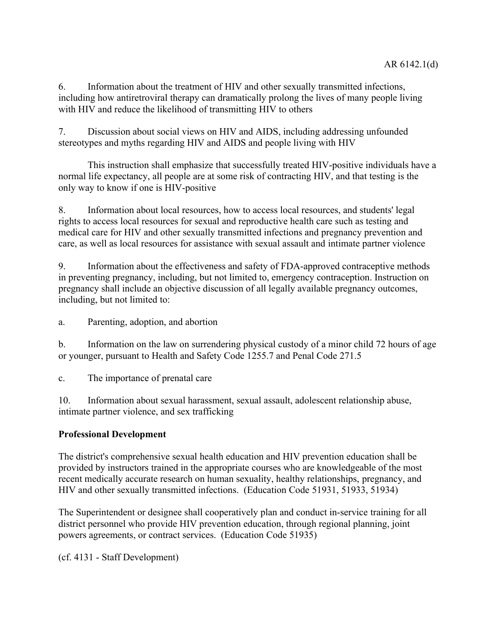6. Information about the treatment of HIV and other sexually transmitted infections, including how antiretroviral therapy can dramatically prolong the lives of many people living with HIV and reduce the likelihood of transmitting HIV to others

7. Discussion about social views on HIV and AIDS, including addressing unfounded stereotypes and myths regarding HIV and AIDS and people living with HIV

This instruction shall emphasize that successfully treated HIV-positive individuals have a normal life expectancy, all people are at some risk of contracting HIV, and that testing is the only way to know if one is HIV-positive

8. Information about local resources, how to access local resources, and students' legal rights to access local resources for sexual and reproductive health care such as testing and medical care for HIV and other sexually transmitted infections and pregnancy prevention and care, as well as local resources for assistance with sexual assault and intimate partner violence

9. Information about the effectiveness and safety of FDA-approved contraceptive methods in preventing pregnancy, including, but not limited to, emergency contraception. Instruction on pregnancy shall include an objective discussion of all legally available pregnancy outcomes, including, but not limited to:

a. Parenting, adoption, and abortion

b. Information on the law on surrendering physical custody of a minor child 72 hours of age or younger, pursuant to Health and Safety Code 1255.7 and Penal Code 271.5

c. The importance of prenatal care

10. Information about sexual harassment, sexual assault, adolescent relationship abuse, intimate partner violence, and sex trafficking

# **Professional Development**

The district's comprehensive sexual health education and HIV prevention education shall be provided by instructors trained in the appropriate courses who are knowledgeable of the most recent medically accurate research on human sexuality, healthy relationships, pregnancy, and HIV and other sexually transmitted infections. (Education Code 51931, 51933, 51934)

The Superintendent or designee shall cooperatively plan and conduct in-service training for all district personnel who provide HIV prevention education, through regional planning, joint powers agreements, or contract services. (Education Code 51935)

(cf. 4131 - Staff Development)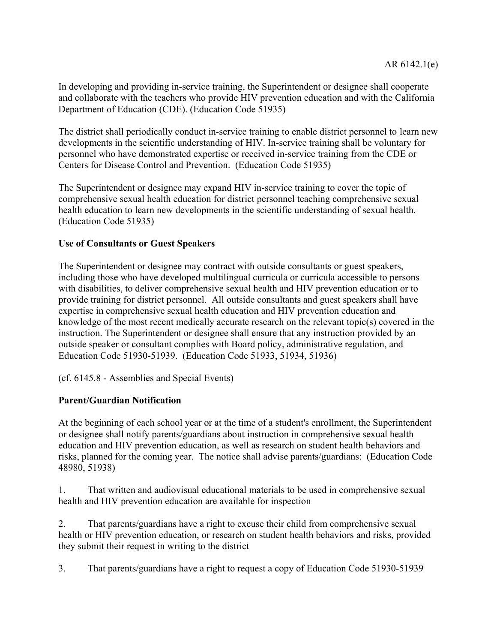In developing and providing in-service training, the Superintendent or designee shall cooperate and collaborate with the teachers who provide HIV prevention education and with the California Department of Education (CDE). (Education Code 51935)

The district shall periodically conduct in-service training to enable district personnel to learn new developments in the scientific understanding of HIV. In-service training shall be voluntary for personnel who have demonstrated expertise or received in-service training from the CDE or Centers for Disease Control and Prevention. (Education Code 51935)

The Superintendent or designee may expand HIV in-service training to cover the topic of comprehensive sexual health education for district personnel teaching comprehensive sexual health education to learn new developments in the scientific understanding of sexual health. (Education Code 51935)

### **Use of Consultants or Guest Speakers**

The Superintendent or designee may contract with outside consultants or guest speakers, including those who have developed multilingual curricula or curricula accessible to persons with disabilities, to deliver comprehensive sexual health and HIV prevention education or to provide training for district personnel. All outside consultants and guest speakers shall have expertise in comprehensive sexual health education and HIV prevention education and knowledge of the most recent medically accurate research on the relevant topic(s) covered in the instruction. The Superintendent or designee shall ensure that any instruction provided by an outside speaker or consultant complies with Board policy, administrative regulation, and Education Code 51930-51939. (Education Code 51933, 51934, 51936)

(cf. 6145.8 - Assemblies and Special Events)

# **Parent/Guardian Notification**

At the beginning of each school year or at the time of a student's enrollment, the Superintendent or designee shall notify parents/guardians about instruction in comprehensive sexual health education and HIV prevention education, as well as research on student health behaviors and risks, planned for the coming year. The notice shall advise parents/guardians: (Education Code 48980, 51938)

1. That written and audiovisual educational materials to be used in comprehensive sexual health and HIV prevention education are available for inspection

2. That parents/guardians have a right to excuse their child from comprehensive sexual health or HIV prevention education, or research on student health behaviors and risks, provided they submit their request in writing to the district

3. That parents/guardians have a right to request a copy of Education Code 51930-51939